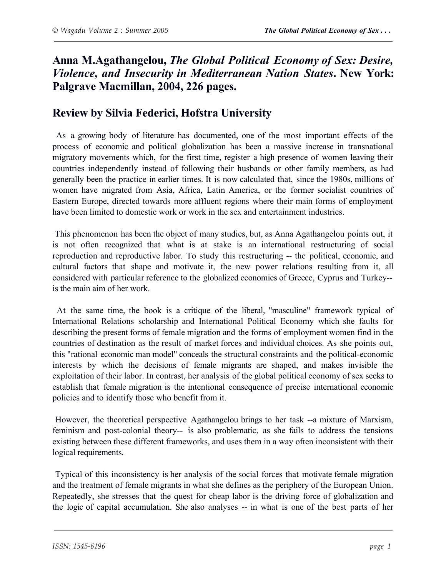## **Anna M.Agathangelou,** *The Global Political Economy of Sex: Desire, Violence, and Insecurity in Mediterranean Nation States***. New York: Palgrave Macmillan, 2004, 226 pages.**

## **Review by Silvia Federici, Hofstra University**

As a growing body of literature has documented, one of the most important effects of the process of economic and political globalization has been a massive increase in transnational migratory movements which, for the first time, register a high presence of women leaving their countries independently instead of following their husbands or other family members, as had generally been the practice in earlier times. It is now calculated that, since the 1980s, millions of women have migrated from Asia, Africa, Latin America, or the former socialist countries of Eastern Europe, directed towards more affluent regions where their main forms of employment have been limited to domestic work or work in the sex and entertainment industries.

This phenomenon has been the object of many studies, but, as Anna Agathangelou points out, it is not often recognized that what is at stake is an international restructuring of social reproduction and reproductive labor. To study this restructuring -- the political, economic, and cultural factors that shape and motivate it, the new power relations resulting from it, all considered with particular reference to the globalized economies of Greece, Cyprus and Turkey- is the main aim of her work.

At the same time, the book is a critique of the liberal, "masculine" framework typical of International Relations scholarship and International Political Economy which she faults for describing the present forms of female migration and the forms of employment women find in the countries of destination as the result of market forces and individual choices. As she points out, this "rational economic man model" conceals the structural constraints and the political-economic interests by which the decisions of female migrants are shaped, and makes invisible the exploitation of their labor. In contrast, her analysis of the global political economy of sex seeks to establish that female migration is the intentional consequence of precise international economic policies and to identify those who benefit from it.

However, the theoretical perspective Agathangelou brings to her task --a mixture of Marxism, feminism and post-colonial theory-- is also problematic, as she fails to address the tensions existing between these different frameworks, and uses them in a way often inconsistent with their logical requirements.

Typical of this inconsistency is her analysis of the social forces that motivate female migration and the treatment of female migrants in what she defines as the periphery of the European Union. Repeatedly, she stresses that the quest for cheap labor is the driving force of globalization and the logic of capital accumulation. She also analyses -- in what is one of the best parts of her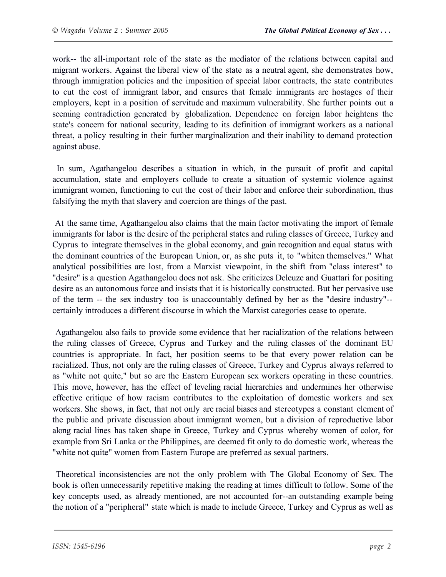work-- the all-important role of the state as the mediator of the relations between capital and migrant workers. Against the liberal view of the state as a neutral agent, she demonstrates how, through immigration policies and the imposition of special labor contracts, the state contributes to cut the cost of immigrant labor, and ensures that female immigrants are hostages of their employers, kept in a position of servitude and maximum vulnerability. She further points out a seeming contradiction generated by globalization. Dependence on foreign labor heightens the state's concern for national security, leading to its definition of immigrant workers as a national threat, a policy resulting in their further marginalization and their inability to demand protection against abuse.

In sum, Agathangelou describes a situation in which, in the pursuit of profit and capital accumulation, state and employers collude to create a situation of systemic violence against immigrant women, functioning to cut the cost of their labor and enforce their subordination, thus falsifying the myth that slavery and coercion are things of the past.

At the same time, Agathangelou also claims that the main factor motivating the import of female immigrants for labor is the desire of the peripheral states and ruling classes of Greece, Turkey and Cyprus to integrate themselves in the global economy, and gain recognition and equal status with the dominant countries of the European Union, or, as she puts it, to "whiten themselves." What analytical possibilities are lost, from a Marxist viewpoint, in the shift from "class interest" to "desire" is a question Agathangelou does not ask. She criticizes Deleuze and Guattari for positing desire as an autonomous force and insists that it is historically constructed. But her pervasive use of the term -- the sex industry too is unaccountably defined by her as the "desire industry"- certainly introduces a different discourse in which the Marxist categories cease to operate.

Agathangelou also fails to provide some evidence that her racialization of the relations between the ruling classes of Greece, Cyprus and Turkey and the ruling classes of the dominant EU countries is appropriate. In fact, her position seems to be that every power relation can be racialized. Thus, not only are the ruling classes of Greece, Turkey and Cyprus always referred to as "white not quite," but so are the Eastern European sex workers operating in these countries. This move, however, has the effect of leveling racial hierarchies and undermines her otherwise effective critique of how racism contributes to the exploitation of domestic workers and sex workers. She shows, in fact, that not only are racial biases and stereotypes a constant element of the public and private discussion about immigrant women, but a division of reproductive labor along racial lines has taken shape in Greece, Turkey and Cyprus whereby women of color, for example from Sri Lanka or the Philippines, are deemed fit only to do domestic work, whereas the "white not quite" women from Eastern Europe are preferred as sexual partners.

Theoretical inconsistencies are not the only problem with The Global Economy of Sex. The book is often unnecessarily repetitive making the reading at times difficult to follow. Some of the key concepts used, as already mentioned, are not accounted for--an outstanding example being the notion of a "peripheral" state which is made to include Greece, Turkey and Cyprus as well as